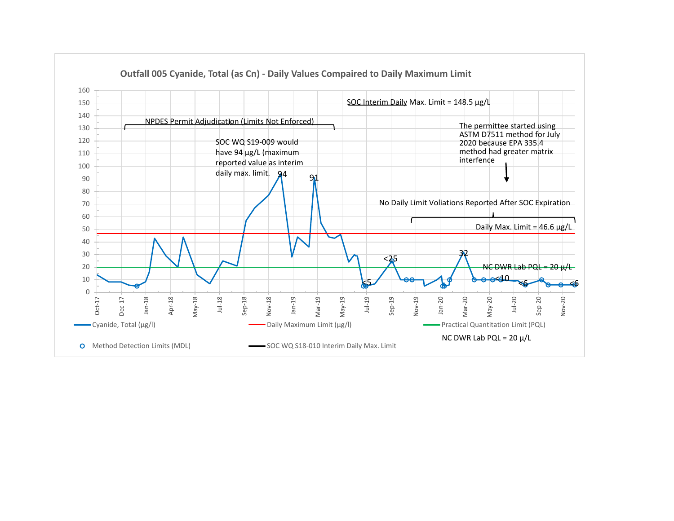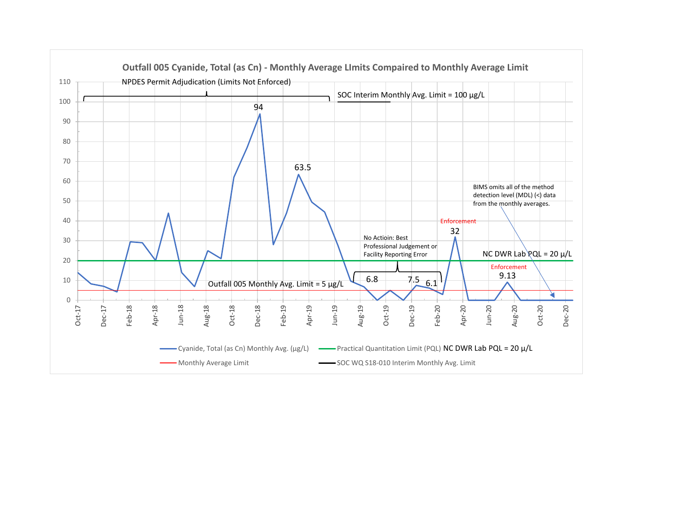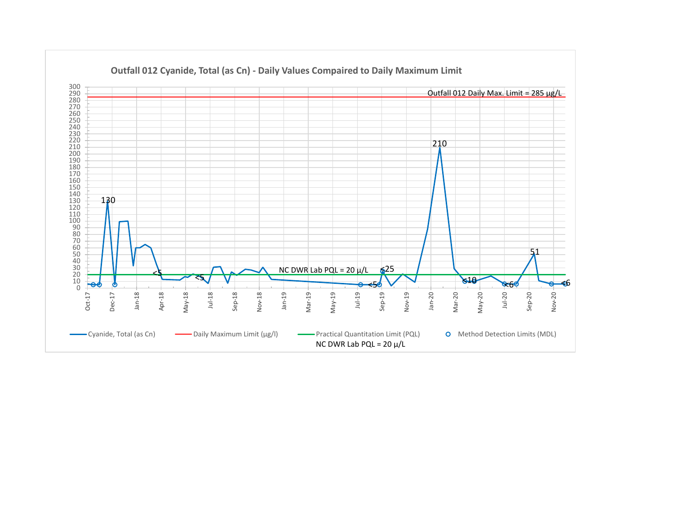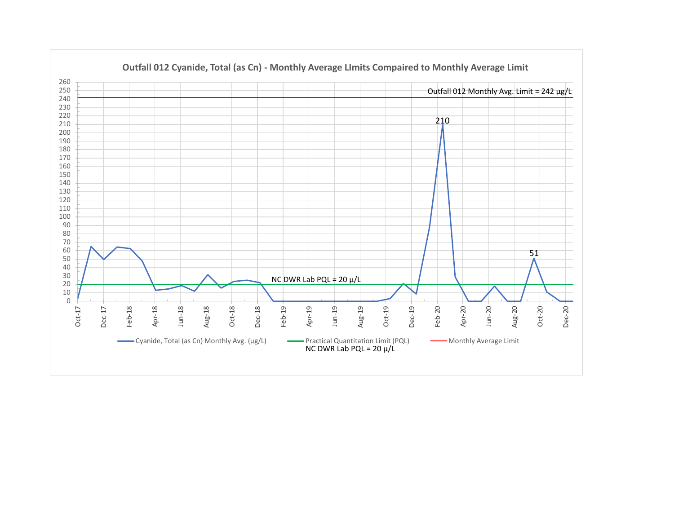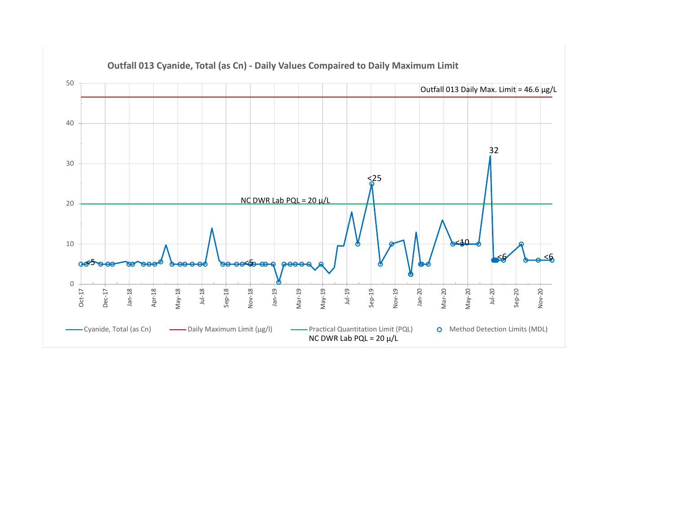

**Outfall 013 Cyanide, Total (as Cn) - Daily Values Compaired to Daily Maximum Limit**